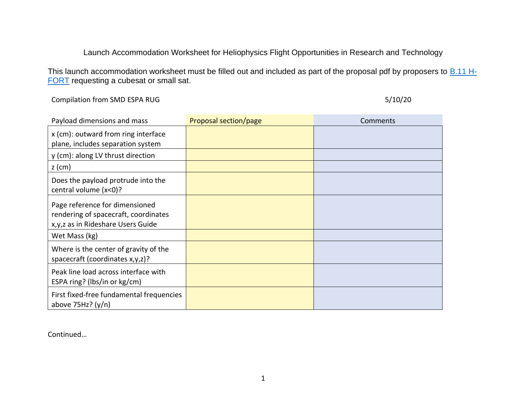## Launch Accommodation Worksheet for Heliophysics Flight Opportunities in Research and Technology

This launch accommodation worksheet must be filled out and included as part of the proposal pdf by proposers to **B.11 H-**[FORT](https://nspires.nasaprs.com/external/solicitations/summary.do?solId=%7bDBCE844C-1D0B-D36A-12A6-86FC953F1B6C%7d&path=&method=init) requesting a cubesat or small sat.

Compilation from SMD ESPA RUG 5/10/20

| Payload dimensions and mass                                                                                   | Proposal section/page | Comments |
|---------------------------------------------------------------------------------------------------------------|-----------------------|----------|
| x (cm): outward from ring interface<br>plane, includes separation system                                      |                       |          |
| y (cm): along LV thrust direction                                                                             |                       |          |
| $z$ (cm)                                                                                                      |                       |          |
| Does the payload protrude into the<br>central volume (x<0)?                                                   |                       |          |
| Page reference for dimensioned<br>rendering of spacecraft, coordinates<br>x, y, z as in Rideshare Users Guide |                       |          |
| Wet Mass (kg)                                                                                                 |                       |          |
| Where is the center of gravity of the<br>spacecraft (coordinates x,y,z)?                                      |                       |          |
| Peak line load across interface with<br>ESPA ring? (lbs/in or kg/cm)                                          |                       |          |
| First fixed-free fundamental frequencies<br>above $75Hz$ ? (y/n)                                              |                       |          |

Continued…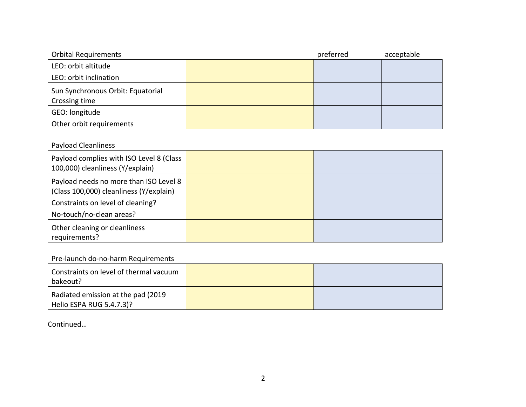| <b>Orbital Requirements</b>                        | preferred | acceptable |
|----------------------------------------------------|-----------|------------|
| LEO: orbit altitude                                |           |            |
| LEO: orbit inclination                             |           |            |
| Sun Synchronous Orbit: Equatorial<br>Crossing time |           |            |
| GEO: longitude                                     |           |            |
| Other orbit requirements                           |           |            |

## Payload Cleanliness

| Payload complies with ISO Level 8 (Class<br>100,000) cleanliness (Y/explain)      |  |
|-----------------------------------------------------------------------------------|--|
| Payload needs no more than ISO Level 8<br>(Class 100,000) cleanliness (Y/explain) |  |
| Constraints on level of cleaning?                                                 |  |
| No-touch/no-clean areas?                                                          |  |
| Other cleaning or cleanliness<br>requirements?                                    |  |

## Pre-launch do-no-harm Requirements

| Constraints on level of thermal vacuum<br>bakeout?              |  |
|-----------------------------------------------------------------|--|
| Radiated emission at the pad (2019)<br>Helio ESPA RUG 5.4.7.3)? |  |

Continued…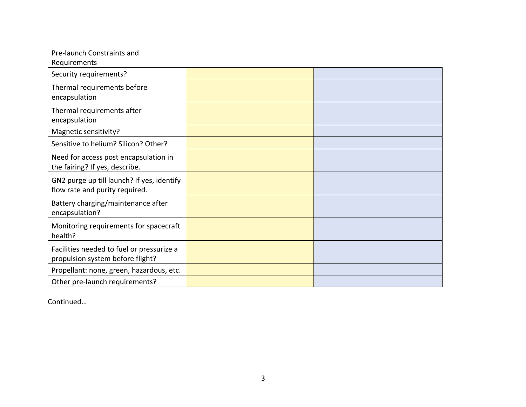| Pre-launch Constraints and                                                    |  |
|-------------------------------------------------------------------------------|--|
| Requirements                                                                  |  |
| Security requirements?                                                        |  |
| Thermal requirements before                                                   |  |
| encapsulation                                                                 |  |
| Thermal requirements after                                                    |  |
| encapsulation                                                                 |  |
| Magnetic sensitivity?                                                         |  |
| Sensitive to helium? Silicon? Other?                                          |  |
| Need for access post encapsulation in<br>the fairing? If yes, describe.       |  |
| GN2 purge up till launch? If yes, identify<br>flow rate and purity required.  |  |
| Battery charging/maintenance after<br>encapsulation?                          |  |
| Monitoring requirements for spacecraft<br>health?                             |  |
| Facilities needed to fuel or pressurize a<br>propulsion system before flight? |  |
| Propellant: none, green, hazardous, etc.                                      |  |
| Other pre-launch requirements?                                                |  |

Continued…